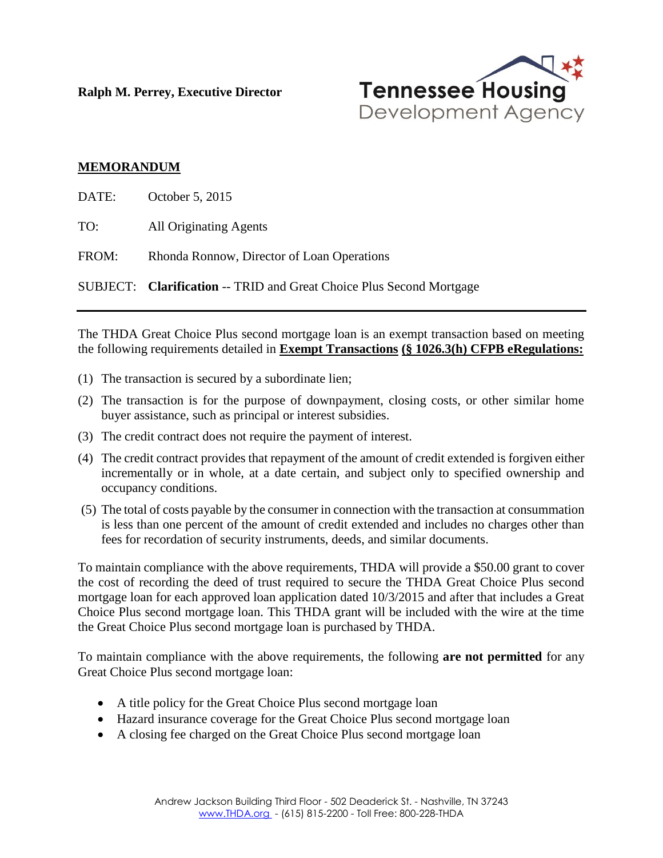**Ralph M. Perrey, Executive Director**



## **MEMORANDUM**

| DATE: | October 5, 2015                                                             |
|-------|-----------------------------------------------------------------------------|
| TO:   | <b>All Originating Agents</b>                                               |
| FROM: | Rhonda Ronnow, Director of Loan Operations                                  |
|       | <b>SUBJECT:</b> Clarification -- TRID and Great Choice Plus Second Mortgage |
|       |                                                                             |

The THDA Great Choice Plus second mortgage loan is an exempt transaction based on meeting the following requirements detailed in **Exempt Transactions (§ 1026.3(h) CFPB eRegulations:**

- (1) The transaction is secured by a subordinate lien;
- (2) The transaction is for the purpose of downpayment, closing costs, or other similar home buyer assistance, such as principal or interest subsidies.
- (3) The credit contract does not require the payment of interest.
- (4) The credit contract provides that repayment of the amount of credit extended is forgiven either incrementally or in whole, at a date certain, and subject only to specified ownership and occupancy conditions.
- (5) The total of costs payable by the consumer in connection with the transaction at consummation is less than one percent of the amount of credit extended and includes no charges other than fees for recordation of security instruments, deeds, and similar documents.

To maintain compliance with the above requirements, THDA will provide a \$50.00 grant to cover the cost of recording the deed of trust required to secure the THDA Great Choice Plus second mortgage loan for each approved loan application dated 10/3/2015 and after that includes a Great Choice Plus second mortgage loan. This THDA grant will be included with the wire at the time the Great Choice Plus second mortgage loan is purchased by THDA.

To maintain compliance with the above requirements, the following **are not permitted** for any Great Choice Plus second mortgage loan:

- A title policy for the Great Choice Plus second mortgage loan
- Hazard insurance coverage for the Great Choice Plus second mortgage loan
- A closing fee charged on the Great Choice Plus second mortgage loan